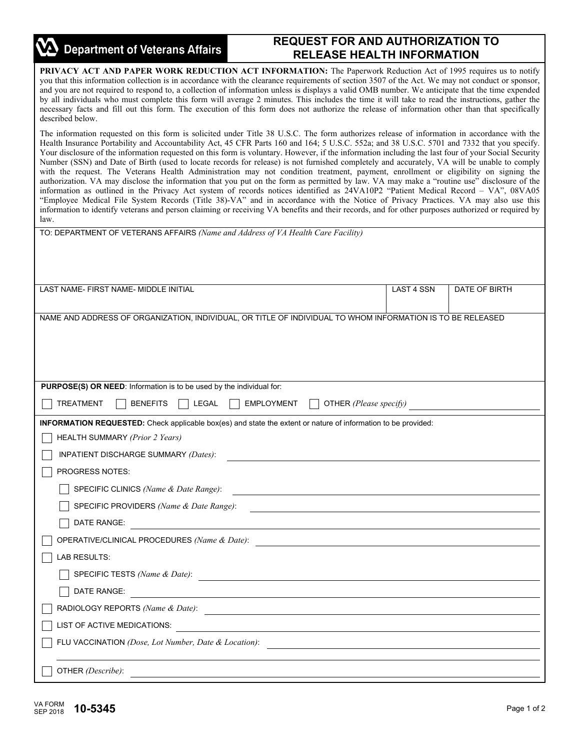| <b>Department of Veterans Affairs</b>                                                                                                                                                                                                                                                                                                                                                                                                                                                                                                                                                                                                                                                                                                                                                                                                                                                                                                                                                                                                                                                                                                                                                                                                                                                                                        | <b>REQUEST FOR AND AUTHORIZATION TO</b>                                                                          |                   |               |  |  |
|------------------------------------------------------------------------------------------------------------------------------------------------------------------------------------------------------------------------------------------------------------------------------------------------------------------------------------------------------------------------------------------------------------------------------------------------------------------------------------------------------------------------------------------------------------------------------------------------------------------------------------------------------------------------------------------------------------------------------------------------------------------------------------------------------------------------------------------------------------------------------------------------------------------------------------------------------------------------------------------------------------------------------------------------------------------------------------------------------------------------------------------------------------------------------------------------------------------------------------------------------------------------------------------------------------------------------|------------------------------------------------------------------------------------------------------------------|-------------------|---------------|--|--|
|                                                                                                                                                                                                                                                                                                                                                                                                                                                                                                                                                                                                                                                                                                                                                                                                                                                                                                                                                                                                                                                                                                                                                                                                                                                                                                                              | <b>RELEASE HEALTH INFORMATION</b>                                                                                |                   |               |  |  |
| PRIVACY ACT AND PAPER WORK REDUCTION ACT INFORMATION: The Paperwork Reduction Act of 1995 requires us to notify<br>you that this information collection is in accordance with the clearance requirements of section 3507 of the Act. We may not conduct or sponsor,<br>and you are not required to respond to, a collection of information unless is displays a valid OMB number. We anticipate that the time expended<br>by all individuals who must complete this form will average 2 minutes. This includes the time it will take to read the instructions, gather the<br>necessary facts and fill out this form. The execution of this form does not authorize the release of information other than that specifically<br>described below.                                                                                                                                                                                                                                                                                                                                                                                                                                                                                                                                                                               |                                                                                                                  |                   |               |  |  |
| The information requested on this form is solicited under Title 38 U.S.C. The form authorizes release of information in accordance with the<br>Health Insurance Portability and Accountability Act, 45 CFR Parts 160 and 164; 5 U.S.C. 552a; and 38 U.S.C. 5701 and 7332 that you specify.<br>Your disclosure of the information requested on this form is voluntary. However, if the information including the last four of your Social Security<br>Number (SSN) and Date of Birth (used to locate records for release) is not furnished completely and accurately, VA will be unable to comply<br>with the request. The Veterans Health Administration may not condition treatment, payment, enrollment or eligibility on signing the<br>authorization. VA may disclose the information that you put on the form as permitted by law. VA may make a "routine use" disclosure of the<br>information as outlined in the Privacy Act system of records notices identified as 24VA10P2 "Patient Medical Record - VA", 08VA05<br>"Employee Medical File System Records (Title 38)-VA" and in accordance with the Notice of Privacy Practices. VA may also use this<br>information to identify veterans and person claiming or receiving VA benefits and their records, and for other purposes authorized or required by<br>law. |                                                                                                                  |                   |               |  |  |
| TO: DEPARTMENT OF VETERANS AFFAIRS (Name and Address of VA Health Care Facility)                                                                                                                                                                                                                                                                                                                                                                                                                                                                                                                                                                                                                                                                                                                                                                                                                                                                                                                                                                                                                                                                                                                                                                                                                                             |                                                                                                                  |                   |               |  |  |
|                                                                                                                                                                                                                                                                                                                                                                                                                                                                                                                                                                                                                                                                                                                                                                                                                                                                                                                                                                                                                                                                                                                                                                                                                                                                                                                              |                                                                                                                  |                   |               |  |  |
|                                                                                                                                                                                                                                                                                                                                                                                                                                                                                                                                                                                                                                                                                                                                                                                                                                                                                                                                                                                                                                                                                                                                                                                                                                                                                                                              |                                                                                                                  |                   |               |  |  |
| LAST NAME- FIRST NAME- MIDDLE INITIAL                                                                                                                                                                                                                                                                                                                                                                                                                                                                                                                                                                                                                                                                                                                                                                                                                                                                                                                                                                                                                                                                                                                                                                                                                                                                                        |                                                                                                                  | <b>LAST 4 SSN</b> | DATE OF BIRTH |  |  |
|                                                                                                                                                                                                                                                                                                                                                                                                                                                                                                                                                                                                                                                                                                                                                                                                                                                                                                                                                                                                                                                                                                                                                                                                                                                                                                                              |                                                                                                                  |                   |               |  |  |
| NAME AND ADDRESS OF ORGANIZATION, INDIVIDUAL, OR TITLE OF INDIVIDUAL TO WHOM INFORMATION IS TO BE RELEASED                                                                                                                                                                                                                                                                                                                                                                                                                                                                                                                                                                                                                                                                                                                                                                                                                                                                                                                                                                                                                                                                                                                                                                                                                   |                                                                                                                  |                   |               |  |  |
|                                                                                                                                                                                                                                                                                                                                                                                                                                                                                                                                                                                                                                                                                                                                                                                                                                                                                                                                                                                                                                                                                                                                                                                                                                                                                                                              |                                                                                                                  |                   |               |  |  |
|                                                                                                                                                                                                                                                                                                                                                                                                                                                                                                                                                                                                                                                                                                                                                                                                                                                                                                                                                                                                                                                                                                                                                                                                                                                                                                                              |                                                                                                                  |                   |               |  |  |
|                                                                                                                                                                                                                                                                                                                                                                                                                                                                                                                                                                                                                                                                                                                                                                                                                                                                                                                                                                                                                                                                                                                                                                                                                                                                                                                              |                                                                                                                  |                   |               |  |  |
| PURPOSE(S) OR NEED: Information is to be used by the individual for:                                                                                                                                                                                                                                                                                                                                                                                                                                                                                                                                                                                                                                                                                                                                                                                                                                                                                                                                                                                                                                                                                                                                                                                                                                                         |                                                                                                                  |                   |               |  |  |
| TREATMENT<br><b>BENEFITS</b><br>LEGAL                                                                                                                                                                                                                                                                                                                                                                                                                                                                                                                                                                                                                                                                                                                                                                                                                                                                                                                                                                                                                                                                                                                                                                                                                                                                                        | OTHER (Please specify)<br><b>EMPLOYMENT</b>                                                                      |                   |               |  |  |
| <b>INFORMATION REQUESTED:</b> Check applicable box(es) and state the extent or nature of information to be provided:                                                                                                                                                                                                                                                                                                                                                                                                                                                                                                                                                                                                                                                                                                                                                                                                                                                                                                                                                                                                                                                                                                                                                                                                         |                                                                                                                  |                   |               |  |  |
| <b>HEALTH SUMMARY (Prior 2 Years)</b>                                                                                                                                                                                                                                                                                                                                                                                                                                                                                                                                                                                                                                                                                                                                                                                                                                                                                                                                                                                                                                                                                                                                                                                                                                                                                        |                                                                                                                  |                   |               |  |  |
| INPATIENT DISCHARGE SUMMARY (Dates):                                                                                                                                                                                                                                                                                                                                                                                                                                                                                                                                                                                                                                                                                                                                                                                                                                                                                                                                                                                                                                                                                                                                                                                                                                                                                         |                                                                                                                  |                   |               |  |  |
| PROGRESS NOTES:                                                                                                                                                                                                                                                                                                                                                                                                                                                                                                                                                                                                                                                                                                                                                                                                                                                                                                                                                                                                                                                                                                                                                                                                                                                                                                              |                                                                                                                  |                   |               |  |  |
| SPECIFIC CLINICS (Name & Date Range):                                                                                                                                                                                                                                                                                                                                                                                                                                                                                                                                                                                                                                                                                                                                                                                                                                                                                                                                                                                                                                                                                                                                                                                                                                                                                        | <u> 1980 - Andrea Andrew Maria (h. 1980).</u>                                                                    |                   |               |  |  |
| SPECIFIC PROVIDERS (Name & Date Range):                                                                                                                                                                                                                                                                                                                                                                                                                                                                                                                                                                                                                                                                                                                                                                                                                                                                                                                                                                                                                                                                                                                                                                                                                                                                                      |                                                                                                                  |                   |               |  |  |
| DATE RANGE:                                                                                                                                                                                                                                                                                                                                                                                                                                                                                                                                                                                                                                                                                                                                                                                                                                                                                                                                                                                                                                                                                                                                                                                                                                                                                                                  | <u> 1980 - Andrea Station, amerikansk politik (d. 1980)</u>                                                      |                   |               |  |  |
| OPERATIVE/CLINICAL PROCEDURES (Name & Date):                                                                                                                                                                                                                                                                                                                                                                                                                                                                                                                                                                                                                                                                                                                                                                                                                                                                                                                                                                                                                                                                                                                                                                                                                                                                                 |                                                                                                                  |                   |               |  |  |
| <b>LAB RESULTS:</b>                                                                                                                                                                                                                                                                                                                                                                                                                                                                                                                                                                                                                                                                                                                                                                                                                                                                                                                                                                                                                                                                                                                                                                                                                                                                                                          |                                                                                                                  |                   |               |  |  |
|                                                                                                                                                                                                                                                                                                                                                                                                                                                                                                                                                                                                                                                                                                                                                                                                                                                                                                                                                                                                                                                                                                                                                                                                                                                                                                                              | SPECIFIC TESTS (Name & Date): $\frac{1}{2}$                                                                      |                   |               |  |  |
| DATE RANGE:                                                                                                                                                                                                                                                                                                                                                                                                                                                                                                                                                                                                                                                                                                                                                                                                                                                                                                                                                                                                                                                                                                                                                                                                                                                                                                                  | <u> 1989 - Johann Barn, amerikansk politiker (d. 1989)</u>                                                       |                   |               |  |  |
| RADIOLOGY REPORTS (Name & Date):                                                                                                                                                                                                                                                                                                                                                                                                                                                                                                                                                                                                                                                                                                                                                                                                                                                                                                                                                                                                                                                                                                                                                                                                                                                                                             | and the control of the control of the control of the control of the control of the control of the control of the |                   |               |  |  |
| LIST OF ACTIVE MEDICATIONS:                                                                                                                                                                                                                                                                                                                                                                                                                                                                                                                                                                                                                                                                                                                                                                                                                                                                                                                                                                                                                                                                                                                                                                                                                                                                                                  | <u> 1980 - Andrea Stadt Britain, fransk politik (d. 1980)</u>                                                    |                   |               |  |  |
| FLU VACCINATION (Dose, Lot Number, Date & Location):                                                                                                                                                                                                                                                                                                                                                                                                                                                                                                                                                                                                                                                                                                                                                                                                                                                                                                                                                                                                                                                                                                                                                                                                                                                                         |                                                                                                                  |                   |               |  |  |
| OTHER (Describe):                                                                                                                                                                                                                                                                                                                                                                                                                                                                                                                                                                                                                                                                                                                                                                                                                                                                                                                                                                                                                                                                                                                                                                                                                                                                                                            |                                                                                                                  |                   |               |  |  |
|                                                                                                                                                                                                                                                                                                                                                                                                                                                                                                                                                                                                                                                                                                                                                                                                                                                                                                                                                                                                                                                                                                                                                                                                                                                                                                                              |                                                                                                                  |                   |               |  |  |